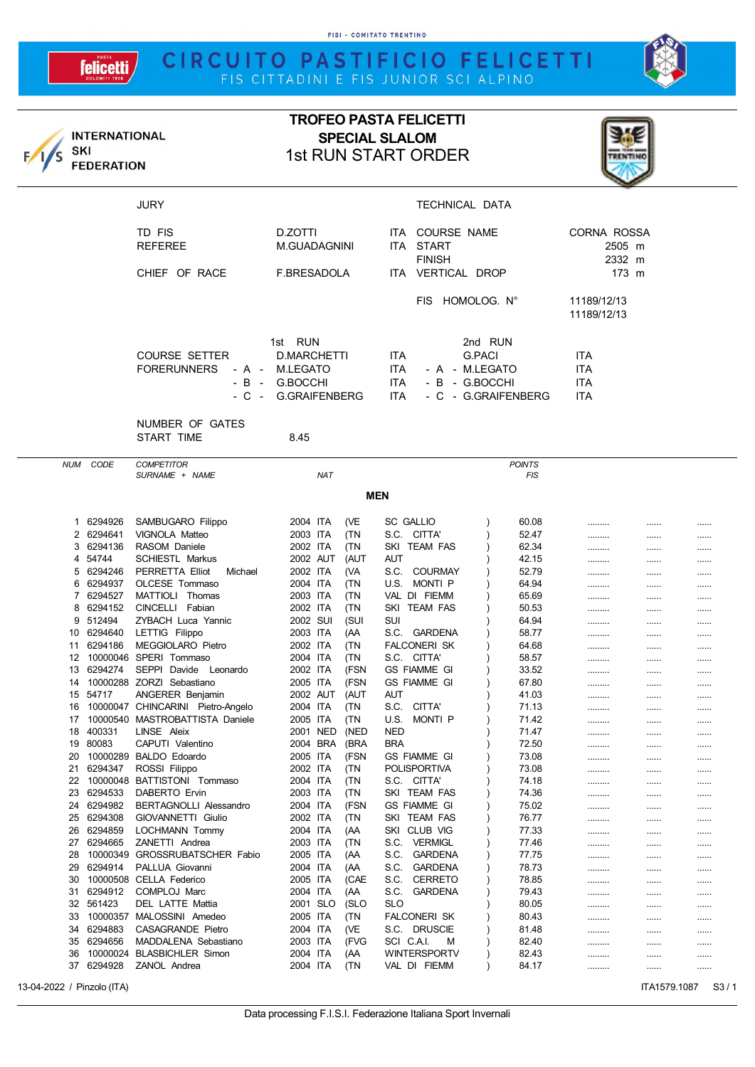FISI - COMITATO TRENTINO

## CIRCUITO PASTIFICIO FELICETTI



| SKI      | <b>INTERNATIONAL</b><br><b>FEDERATION</b> |                                                     | <b>TROFEO PASTA FELICETTI</b><br><b>SPECIAL SLALOM</b><br><b>1st RUN START ORDER</b> |                                                                                                                    |                            |                                        |      |      |
|----------|-------------------------------------------|-----------------------------------------------------|--------------------------------------------------------------------------------------|--------------------------------------------------------------------------------------------------------------------|----------------------------|----------------------------------------|------|------|
|          |                                           | <b>JURY</b>                                         |                                                                                      | TECHNICAL DATA                                                                                                     |                            |                                        |      |      |
|          |                                           | TD FIS<br><b>REFEREE</b>                            | D.ZOTTI<br><b>M.GUADAGNINI</b>                                                       | ITA COURSE NAME<br>ITA START<br><b>FINISH</b>                                                                      |                            | CORNA ROSSA<br>2505 m<br>2332 m        |      |      |
|          |                                           | CHIEF OF RACE                                       | F.BRESADOLA                                                                          | ITA VERTICAL DROP                                                                                                  |                            | 173 m                                  |      |      |
|          |                                           |                                                     |                                                                                      | FIS HOMOLOG. N°                                                                                                    | 11189/12/13<br>11189/12/13 |                                        |      |      |
|          |                                           | <b>COURSE SETTER</b><br><b>FORERUNNERS</b><br>- B - | 1st RUN<br><b>D.MARCHETTI</b><br>- A - M.LEGATO<br>G.BOCCHI<br>- C - G.GRAIFENBERG   | 2nd RUN<br><b>G.PACI</b><br>ITA.<br>ITA<br>- A - M.LEGATO<br>ITA.<br>- B - G.BOCCHI<br>- C - G.GRAIFENBERG<br>ITA. |                            | <b>ITA</b><br>ITA<br>ITA<br><b>ITA</b> |      |      |
|          |                                           | NUMBER OF GATES<br>START TIME                       | 8.45                                                                                 |                                                                                                                    |                            |                                        |      |      |
| NUM      | CODE                                      | <b>COMPETITOR</b><br>SURNAME + NAME                 | <b>NAT</b>                                                                           |                                                                                                                    | <b>POINTS</b><br>FIS       |                                        |      |      |
|          |                                           |                                                     |                                                                                      | <b>MEN</b>                                                                                                         |                            |                                        |      |      |
|          | 1 6294926<br>2 6294641                    | SAMBUGARO Filippo<br>VIGNOLA Matteo                 | 2004 ITA<br>(VE<br>2003 ITA<br>(TN                                                   | <b>SC GALLIO</b><br>S.C. CITTA'                                                                                    | 60.08<br>52.47             | <br>                                   | <br> | <br> |
|          | 3 6294136<br>4 54744                      | RASOM Daniele<br><b>SCHIESTL Markus</b>             | 2002 ITA<br>(TN<br>2002 AUT<br>(AUT                                                  | SKI TEAM FAS<br>AUT                                                                                                | 62.34<br>42.15             | <br>                                   | <br> | <br> |
| 5        | 6294246                                   | PERRETTA Elliot<br>Michael                          | 2002 ITA<br>(VA                                                                      | S.C. COURMAY                                                                                                       | 52.79                      |                                        |      |      |
|          | 6 6294937<br>7 6294527                    | OLCESE Tommaso<br>MATTIOLI Thomas                   | 2004 ITA<br>(TN<br>2003 ITA<br>(TN                                                   | U.S. MONTI P<br>VAL DI FIEMM                                                                                       | 64.94<br>65.69             | .<br>                                  | <br> | <br> |
| 8        | 6294152                                   | CINCELLI Fabian                                     | 2002 ITA<br>(TN                                                                      | SKI TEAM FAS                                                                                                       | 50.53                      |                                        |      |      |
|          | 9 512494                                  | ZYBACH Luca Yannic                                  | 2002 SUI<br>(SUI                                                                     | SUI                                                                                                                | 64.94                      |                                        |      |      |
|          | 10 6294640<br>11 6294186                  | LETTIG Filippo<br>MEGGIOLARO Pietro                 | 2003 ITA<br>(AA)<br>2002 ITA<br>(TN                                                  | S.C. GARDENA<br><b>FALCONERI SK</b>                                                                                | 58.77<br>64.68             | .<br>                                  | <br> | <br> |
|          |                                           | 12 10000046 SPERI Tommaso                           | 2004 ITA<br>(TN                                                                      | S.C. CITTA'                                                                                                        | 58.57                      |                                        |      |      |
|          |                                           | 13 6294274 SEPPI Davide Leonardo                    | (FSN<br>2002 ITA                                                                     | <b>GS FIAMME GI</b>                                                                                                | 33.52                      |                                        |      |      |
| 15       | 54717                                     | 14 10000288 ZORZI Sebastiano<br>ANGERER Benjamin    | 2005 ITA<br>(FSN<br>2002 AUT<br>(AUT                                                 | GS FIAMME GI<br>AUT                                                                                                | 67.80<br>41.03             |                                        | <br> | <br> |
| 16       |                                           | 10000047 CHINCARINI Pietro-Angelo                   | 2004 ITA<br>(TN                                                                      | S.C.<br>CITTA'                                                                                                     | 71.13                      | <br>                                   |      |      |
| 17       |                                           | 10000540 MASTROBATTISTA Daniele                     | 2005 ITA<br>(TN                                                                      | U.S.<br>MONTI P                                                                                                    | 71.42                      |                                        |      |      |
| 18<br>19 | 400331<br>80083                           | LINSE Aleix<br>CAPUTI Valentino                     | (NED<br>2001 NED<br>2004 BRA<br>(BRA                                                 | <b>NED</b><br><b>BRA</b>                                                                                           | 71.47<br>72.50             | <br>                                   | <br> | <br> |
| 20       |                                           | 10000289 BALDO Edoardo                              | (FSN<br>2005 ITA                                                                     | <b>GS FIAMME GI</b>                                                                                                | 73.08                      |                                        |      |      |
| 21       | 6294347                                   | ROSSI Filippo                                       | 2002 ITA<br>(TN                                                                      | <b>POLISPORTIVA</b>                                                                                                | 73.08                      |                                        |      |      |
| 22<br>23 | 6294533                                   | 10000048 BATTISTONI Tommaso<br>DABERTO Ervin        | 2004 ITA<br>(TN<br>2003 ITA<br>(TN                                                   | S.C. CITTA'<br>SKI TEAM FAS                                                                                        | 74.18<br>74.36             |                                        |      |      |
| 24       | 6294982                                   | BERTAGNOLLI Alessandro                              | 2004 ITA<br>(FSN                                                                     | <b>GS FIAMME GI</b>                                                                                                | 75.02                      | <br>                                   | <br> | <br> |
| 25       | 6294308                                   | GIOVANNETTI Giulio                                  | 2002 ITA<br>(TN                                                                      | SKI TEAM FAS                                                                                                       | 76.77                      |                                        |      |      |
| 26       | 6294859                                   | LOCHMANN Tommy                                      | 2004 ITA<br>(AA                                                                      | SKI CLUB VIG                                                                                                       | 77.33                      |                                        |      |      |
| 27<br>28 | 6294665                                   | ZANETTI Andrea<br>10000349 GROSSRUBATSCHER Fabio    | 2003 ITA<br>(TN<br>2005 ITA<br>(AA)                                                  | S.C. VERMIGL<br>S.C. GARDENA                                                                                       | 77.46<br>77.75             | <br>                                   | <br> | <br> |
| 29       | 6294914                                   | PALLUA Giovanni                                     | 2004 ITA<br>(AA                                                                      | S.C. GARDENA                                                                                                       | 78.73                      |                                        |      |      |
| 30       |                                           | 10000508 CELLA Federico                             | 2005 ITA<br>(CAE                                                                     | S.C. CERRETO                                                                                                       | 78.85                      |                                        |      |      |
| 31<br>32 | 6294912<br>561423                         | COMPLOJ Marc<br>DEL LATTE Mattia                    | 2004 ITA<br>(AA)<br>2001 SLO<br>(SLO                                                 | S.C. GARDENA<br><b>SLO</b>                                                                                         | 79.43<br>80.05             |                                        |      |      |
| 33       |                                           | 10000357 MALOSSINI Amedeo                           | 2005 ITA<br>(TN                                                                      | FALCONERI SK                                                                                                       | 80.43                      | <br>                                   | <br> | <br> |
| 34       | 6294883                                   | CASAGRANDE Pietro                                   | 2004 ITA<br>(VE                                                                      | S.C. DRUSCIE                                                                                                       | 81.48                      |                                        |      |      |
| 35       | 6294656                                   | MADDALENA Sebastiano                                | 2003 ITA<br>(FVG                                                                     | SCI C.A.I.<br>м                                                                                                    | 82.40                      |                                        |      |      |
| 36<br>37 | 6294928                                   | 10000024 BLASBICHLER Simon<br>ZANOL Andrea          | 2004 ITA<br>(AA)<br>2004 ITA<br>(TN                                                  | WINTERSPORTV<br>VAL DI FIEMM                                                                                       | 82.43<br>84.17             |                                        |      |      |
|          |                                           |                                                     |                                                                                      |                                                                                                                    |                            |                                        |      |      |

13-04-2022 / Pinzolo (ITA) **ITA1579.1087** S3 / 1

**felicetti**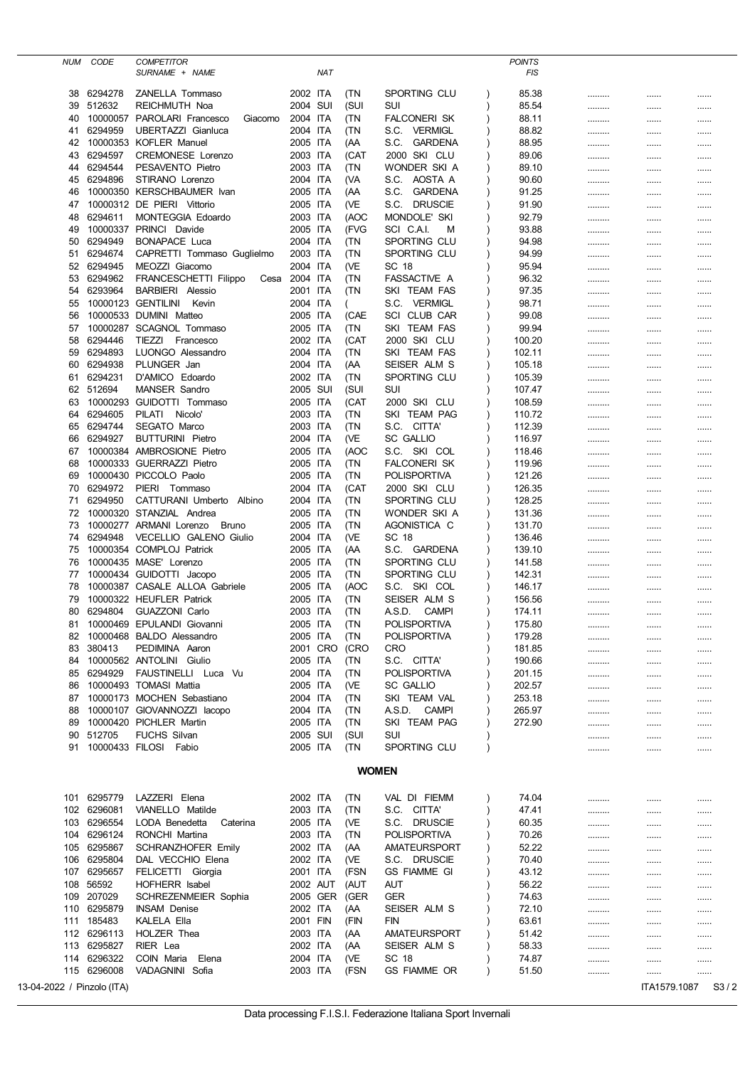| NUM                                                | CODE                       | <b>COMPETITOR</b>                                      |                      |            |             |                                     | <b>POINTS</b>    |      |          |      |
|----------------------------------------------------|----------------------------|--------------------------------------------------------|----------------------|------------|-------------|-------------------------------------|------------------|------|----------|------|
|                                                    |                            | SURNAME + NAME                                         |                      | <b>NAT</b> |             |                                     | FIS              |      |          |      |
| 38                                                 | 6294278                    | ZANELLA Tommaso                                        | 2002 ITA             |            | (TN         | SPORTING CLU                        | 85.38            |      |          |      |
| 39                                                 | 512632                     | REICHMUTH Noa                                          | 2004 SUI             |            | (SUI        | SUI                                 | 85.54            |      |          |      |
| 40                                                 |                            | 10000057 PAROLARI Francesco<br>Giacomo                 | 2004 ITA             |            | (TN         | FALCONERI SK                        | 88.11            |      |          |      |
| 41                                                 | 6294959                    | UBERTAZZI Gianluca                                     | 2004 ITA             |            | (TN         | S.C. VERMIGL                        | 88.82            |      |          |      |
| 42                                                 |                            | 10000353 KOFLER Manuel                                 | 2005 ITA             |            | (AA         | S.C.<br>GARDENA                     | 88.95            |      |          |      |
| 43                                                 | 6294597                    | <b>CREMONESE Lorenzo</b>                               | 2003 ITA             |            | (CAT        | 2000 SKI CLU                        | 89.06            |      |          |      |
| 44                                                 | 6294544                    | PESAVENTO Pietro                                       | 2003 ITA             |            | (TN         | WONDER SKI A                        | 89.10            |      |          |      |
| 45                                                 | 6294896                    | STIRANO Lorenzo                                        | 2004 ITA             |            | (VA         | AOSTA A<br>S.C.                     | 90.60            |      |          |      |
| 46                                                 |                            | 10000350 KERSCHBAUMER Ivan                             | 2005 ITA             |            | (AA         | S.C.<br><b>GARDENA</b>              | 91.25            |      |          |      |
| 47                                                 |                            | 10000312 DE PIERI Vittorio                             | 2005 ITA             |            | (VE         | S.C.<br><b>DRUSCIE</b>              | 91.90            |      |          |      |
| 48                                                 | 6294611                    | <b>MONTEGGIA Edoardo</b><br>10000337 PRINCI Davide     | 2003 ITA             |            | (AOC        | <b>MONDOLE' SKI</b>                 | 92.79            |      |          |      |
| 49<br>50                                           | 6294949                    | <b>BONAPACE Luca</b>                                   | 2005 ITA<br>2004 ITA |            | (FVG<br>(TN | SCI C.A.I.<br>M<br>SPORTING CLU     | 93.88<br>94.98   |      |          |      |
| 51                                                 | 6294674                    | CAPRETTI Tommaso Guglielmo                             | 2003 ITA             |            | (TN         | SPORTING CLU                        | 94.99            |      |          |      |
| 52                                                 | 6294945                    | MEOZZI Giacomo                                         | 2004 ITA             |            | (VE         | SC 18                               | 95.94            |      |          | <br> |
| 53                                                 | 6294962                    | FRANCESCHETTI Filippo<br>Cesa                          | 2004 ITA             |            | (TN         | FASSACTIVE A                        | 96.32            | <br> | <br>     |      |
| 54                                                 | 6293964                    | <b>BARBIERI</b> Alessio                                | 2001 ITA             |            | (TN         | SKI TEAM FAS                        | 97.35            |      |          |      |
| 55                                                 |                            | 10000123 GENTILINI<br>Kevin                            | 2004 ITA             |            |             | S.C.<br><b>VERMIGL</b>              | 98.71            |      |          |      |
| 56                                                 |                            | 10000533 DUMINI Matteo                                 | 2005 ITA             |            | (CAE        | SCI CLUB CAR                        | 99.08            |      |          |      |
| 57                                                 |                            | 10000287 SCAGNOL Tommaso                               | 2005 ITA             |            | (TN         | SKI TEAM FAS                        | 99.94            |      |          |      |
| 58                                                 | 6294446                    | TIEZZI<br>Francesco                                    | 2002 ITA             |            | (CAT        | 2000 SKI CLU                        | 100.20           |      |          |      |
| 59                                                 | 6294893                    | LUONGO Alessandro                                      | 2004 ITA             |            | (TN         | SKI TEAM FAS                        | 102.11           |      |          |      |
| 60                                                 | 6294938                    | PLUNGER Jan                                            | 2004 ITA             |            | (AA         | SEISER ALM S                        | 105.18           |      |          |      |
| 61                                                 | 6294231                    | D'AMICO Edoardo                                        | 2002 ITA             |            | (TN         | SPORTING CLU                        | 105.39           |      |          |      |
| 62                                                 | 512694                     | MANSER Sandro                                          | 2005 SUI             |            | (SUI        | SUI                                 | 107.47           |      |          |      |
| 63                                                 |                            | 10000293 GUIDOTTI Tommaso                              | 2005 ITA             |            | (CAT        | 2000 SKI CLU                        | 108.59           |      |          |      |
| 64                                                 | 6294605                    | PILATI Nicolo'                                         | 2003 ITA             |            | (TN         | SKI TEAM PAG                        | 110.72           |      |          |      |
| 65                                                 | 6294744                    | SEGATO Marco                                           | 2003 ITA             |            | (TN         | S.C. CITTA'                         | 112.39           |      |          |      |
| 66                                                 | 6294927                    | <b>BUTTURINI Pietro</b>                                | 2004 ITA             |            | (VE         | <b>SC GALLIO</b>                    | 116.97           |      |          |      |
| 67                                                 |                            | 10000384 AMBROSIONE Pietro                             | 2005 ITA             |            | (AOC        | S.C. SKI COL                        | 118.46           |      |          |      |
| 68<br>69                                           |                            | 10000333 GUERRAZZI Pietro<br>10000430 PICCOLO Paolo    | 2005 ITA             |            | (TN         | FALCONERI SK<br><b>POLISPORTIVA</b> | 119.96<br>121.26 |      |          |      |
| 70                                                 | 6294972                    | PIERI Tommaso                                          | 2005 ITA<br>2004 ITA |            | (TN<br>(CAT | 2000 SKI CLU                        | 126.35           |      |          |      |
| 71                                                 | 6294950                    | CATTURANI Umberto Albino                               | 2004 ITA             |            | (TN         | SPORTING CLU                        | 128.25           |      |          |      |
| 72                                                 |                            | 10000320 STANZIAL Andrea                               | 2005 ITA             |            | (TN         | WONDER SKI A                        | 131.36           | <br> | <br>     | <br> |
| 73                                                 |                            | 10000277 ARMANI Lorenzo<br>Bruno                       | 2005 ITA             |            | (TN         | AGONISTICA C                        | 131.70           |      |          |      |
| 74                                                 | 6294948                    | VECELLIO GALENO Giulio                                 | 2004 ITA             |            | (VE         | SC 18                               | 136.46           |      |          |      |
| 75                                                 |                            | 10000354 COMPLOJ Patrick                               | 2005 ITA             |            | (AA         | S.C. GARDENA                        | 139.10           |      |          |      |
| 76                                                 |                            | 10000435 MASE' Lorenzo                                 | 2005 ITA             |            | (TN         | SPORTING CLU                        | 141.58           |      |          |      |
| 77                                                 |                            | 10000434 GUIDOTTI Jacopo                               | 2005 ITA             |            | (TN         | SPORTING CLU                        | 142.31           |      |          |      |
| 78                                                 |                            | 10000387 CASALE ALLOA Gabriele                         | 2005 ITA             |            | (AOC        | S.C. SKI COL                        | 146.17           |      |          |      |
| 79                                                 |                            | 10000322 HEUFLER Patrick                               | 2005 ITA             |            | (TN         | SEISER ALM S                        | 156.56           |      |          |      |
| 80                                                 | 6294804                    | <b>GUAZZONI Carlo</b>                                  | 2003 ITA             |            | (TN         | A.S.D.<br><b>CAMPI</b>              | 174.11           |      |          |      |
| 81                                                 |                            | 10000469 EPULANDI Giovanni                             | 2005 ITA             |            | (IN         | POLISPORTIVA                        | 175.80           |      |          |      |
| 82                                                 |                            | 10000468 BALDO Alessandro                              | 2005 ITA             |            | (TN         | POLISPORTIVA                        | 179.28           |      |          |      |
| 83                                                 | 380413                     | PEDIMINA Aaron                                         | 2001 CRO             |            | (CRO        | CRO                                 | 181.85           |      |          |      |
| 84                                                 |                            | 10000562 ANTOLINI Giulio                               | 2005 ITA             |            | (TN         | S.C. CITTA'                         | 190.66           |      |          |      |
| 85                                                 | 6294929                    | FAUSTINELLI Luca Vu                                    | 2004 ITA             |            | (TN         | <b>POLISPORTIVA</b>                 | 201.15           |      |          |      |
| 86                                                 |                            | 10000493 TOMASI Mattia                                 | 2005 ITA             |            | (VE         | SC GALLIO                           | 202.57           |      |          |      |
| 87                                                 |                            | 10000173 MOCHEN Sebastiano                             | 2004 ITA             |            | (TN         | SKI TEAM VAL                        | 253.18           |      |          |      |
| 88<br>89                                           |                            | 10000107 GIOVANNOZZI lacopo<br>10000420 PICHLER Martin | 2004 ITA<br>2005 ITA |            | (TN<br>(TN  | A.S.D. CAMPI<br>SKI TEAM PAG        | 265.97<br>272.90 |      |          |      |
| 90                                                 | 512705                     | <b>FUCHS Silvan</b>                                    | 2005 SUI             |            | (SUI        | SUI                                 |                  |      |          |      |
| 91                                                 |                            | 10000433 FILOSI Fabio                                  | 2005 ITA             |            | (TN         | SPORTING CLU                        | $\lambda$        |      |          |      |
|                                                    |                            |                                                        |                      |            |             |                                     |                  |      |          |      |
| <b>WOMEN</b>                                       |                            |                                                        |                      |            |             |                                     |                  |      |          |      |
|                                                    |                            |                                                        |                      |            |             |                                     |                  |      |          |      |
|                                                    | 101 6295779                | LAZZERI Elena                                          | 2002 ITA             |            | (TN         | VAL DI FIEMM                        | 74.04            |      |          |      |
|                                                    | 102 6296081                | VIANELLO Matilde                                       | 2003 ITA             |            | (TN         | S.C. CITTA'                         | 47.41            |      | $\cdots$ |      |
|                                                    | 103 6296554                | LODA Benedetta<br>Caterina                             | 2005 ITA             |            | (VE         | S.C. DRUSCIE                        | 60.35            |      |          |      |
|                                                    | 104 6296124                | RONCHI Martina                                         | 2003 ITA             |            | (TN         | POLISPORTIVA                        | 70.26            |      |          |      |
|                                                    | 105 6295867                | SCHRANZHOFER Emily                                     | 2002 ITA             |            | (AA)        | AMATEURSPORT                        | 52.22            |      |          |      |
| 106                                                | 6295804                    | DAL VECCHIO Elena                                      | 2002 ITA             |            | (VE         | S.C. DRUSCIE                        | 70.40            |      |          |      |
|                                                    | 107 6295657                | FELICETTI Giorgia                                      | 2001 ITA             |            | (FSN        | <b>GS FIAMME GI</b>                 | 43.12            |      |          |      |
| 108                                                | 56592                      | HOFHERR Isabel                                         | 2002 AUT             |            | (AUT        | AUT                                 | 56.22            |      |          |      |
| 109                                                | 207029                     | SCHREZENMEIER Sophia                                   | 2005 GER             |            | (GER        | <b>GER</b>                          | 74.63            |      |          |      |
|                                                    | 110 6295879                | <b>INSAM Denise</b>                                    | 2002 ITA             |            | (AA         | SEISER ALM S                        | 72.10            |      |          |      |
|                                                    | 111 185483                 | KALELA Ella                                            | 2001 FIN             |            | (FIN        | FIN                                 | 63.61            |      |          |      |
|                                                    | 112 6296113                | <b>HOLZER Thea</b>                                     | 2003 ITA             |            | (AA         | AMATEURSPORT                        | 51.42            |      |          |      |
|                                                    | 113 6295827<br>114 6296322 | RIER Lea<br>COIN Maria                                 | 2002 ITA             |            | (AA)        | SEISER ALM S<br>SC 18               | 58.33            |      |          |      |
|                                                    | 115 6296008                | Elena<br>VADAGNINI Sofia                               | 2004 ITA<br>2003 ITA |            | (VE<br>(FSN | <b>GS FIAMME OR</b>                 | 74.87<br>51.50   |      |          |      |
|                                                    |                            |                                                        |                      |            |             |                                     |                  |      |          |      |
| 13-04-2022 / Pinzolo (ITA)<br>ITA1579.1087<br>S3/2 |                            |                                                        |                      |            |             |                                     |                  |      |          |      |